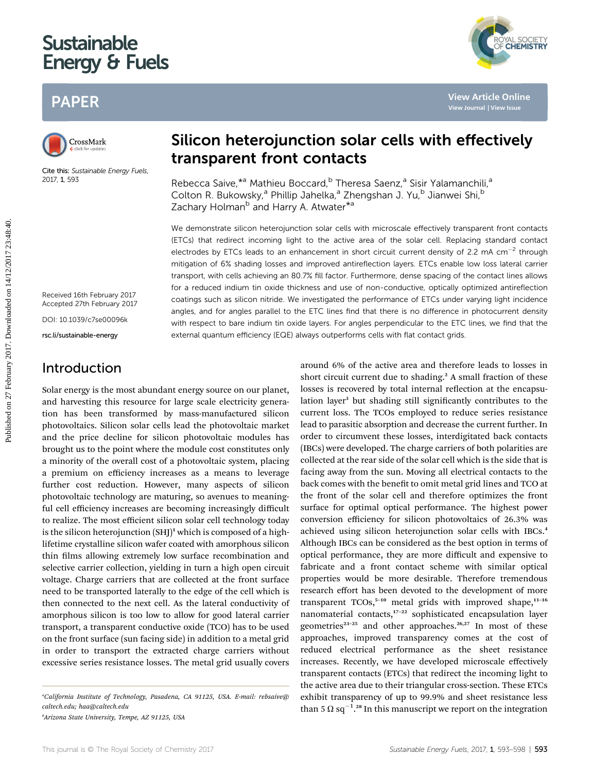# **Sustainable** Energy & Fr energy and the fuels of the same of the same of the same of the same of the same of the same of the same of th<br>Energy and the same of the same of the same of the same of the same of the same of the same of the same of the





Cite this: Sustainable Energy Fuels, 2017, 1, 593

Received 16th February 2017 Accepted 27th February 2017

DOI: 10.1039/c7se00096k

rsc.li/sustainable-energy

## Introduction

Solar energy is the most abundant energy source on our planet, and harvesting this resource for large scale electricity generation has been transformed by mass-manufactured silicon photovoltaics. Silicon solar cells lead the photovoltaic market and the price decline for silicon photovoltaic modules has brought us to the point where the module cost constitutes only a minority of the overall cost of a photovoltaic system, placing a premium on efficiency increases as a means to leverage further cost reduction. However, many aspects of silicon photovoltaic technology are maturing, so avenues to meaningful cell efficiency increases are becoming increasingly difficult to realize. The most efficient silicon solar cell technology today is the silicon heterojunction  $(SH)^1$  which is composed of a highlifetime crystalline silicon wafer coated with amorphous silicon thin films allowing extremely low surface recombination and selective carrier collection, yielding in turn a high open circuit voltage. Charge carriers that are collected at the front surface need to be transported laterally to the edge of the cell which is then connected to the next cell. As the lateral conductivity of amorphous silicon is too low to allow for good lateral carrier transport, a transparent conductive oxide (TCO) has to be used on the front surface (sun facing side) in addition to a metal grid in order to transport the extracted charge carriers without excessive series resistance losses. The metal grid usually covers



YAL SOCIETY<br>**CHEMISTRY** 

Rebecca Saive, \*a Mathieu Boccard, <sup>b</sup> Theresa Saenz, a Sisir Yalamanchili, a Colton R. Bukowsky,<sup>a</sup> Phillip Jahelka,<sup>a</sup> Zhengshan J. Yu,<sup>b</sup> Jianwei Shi,<sup>b</sup> Zachary Holman<sup>b</sup> and Harry A. Atwater<sup>\*a</sup>

We demonstrate silicon heterojunction solar cells with microscale effectively transparent front contacts (ETCs) that redirect incoming light to the active area of the solar cell. Replacing standard contact electrodes by ETCs leads to an enhancement in short circuit current density of 2.2 mA cm<sup>-2</sup> through mitigation of 6% shading losses and improved antireflection layers. ETCs enable low loss lateral carrier transport, with cells achieving an 80.7% fill factor. Furthermore, dense spacing of the contact lines allows for a reduced indium tin oxide thickness and use of non-conductive, optically optimized antireflection coatings such as silicon nitride. We investigated the performance of ETCs under varying light incidence angles, and for angles parallel to the ETC lines find that there is no difference in photocurrent density with respect to bare indium tin oxide layers. For angles perpendicular to the ETC lines, we find that the external quantum efficiency (EQE) always outperforms cells with flat contact grids. **PAPER**<br>
Silicon heterojunction solar cells with effectively<br>
Caustine transparent front contacts<br>
Cause <sup>14</sup> Mathieu Boccard, <sup>0</sup> Theresa Saera,<sup>8</sup> Sist<sup>y</sup> Matmanchili,<sup>9</sup><br>
Zachary 2017. Downloaded Since <sup>14</sup> and Herry A

around 6% of the active area and therefore leads to losses in short circuit current due to shading.<sup>2</sup> A small fraction of these losses is recovered by total internal reflection at the encapsulation layer<sup>3</sup> but shading still significantly contributes to the current loss. The TCOs employed to reduce series resistance lead to parasitic absorption and decrease the current further. In order to circumvent these losses, interdigitated back contacts (IBCs) were developed. The charge carriers of both polarities are collected at the rear side of the solar cell which is the side that is facing away from the sun. Moving all electrical contacts to the back comes with the benefit to omit metal grid lines and TCO at the front of the solar cell and therefore optimizes the front surface for optimal optical performance. The highest power conversion efficiency for silicon photovoltaics of 26.3% was achieved using silicon heterojunction solar cells with IBCs.<sup>4</sup> Although IBCs can be considered as the best option in terms of optical performance, they are more difficult and expensive to fabricate and a front contact scheme with similar optical properties would be more desirable. Therefore tremendous research effort has been devoted to the development of more transparent  $TCOs$ <sup>5-10</sup> metal grids with improved shape,<sup>11-16</sup> nanomaterial contacts, $17-22$  sophisticated encapsulation layer geometries<sup>23-25</sup> and other approaches.<sup>26,27</sup> In most of these approaches, improved transparency comes at the cost of reduced electrical performance as the sheet resistance increases. Recently, we have developed microscale effectively transparent contacts (ETCs) that redirect the incoming light to the active area due to their triangular cross-section. These ETCs exhibit transparency of up to 99.9% and sheet resistance less than 5  $\Omega$  sq<sup>-1</sup>.<sup>28</sup> In this manuscript we report on the integration

a California Institute of Technology, Pasadena, CA 91125, USA. E-mail: rebsaive@ caltech.edu; haa@caltech.edu

b Arizona State University, Tempe, AZ 91125, USA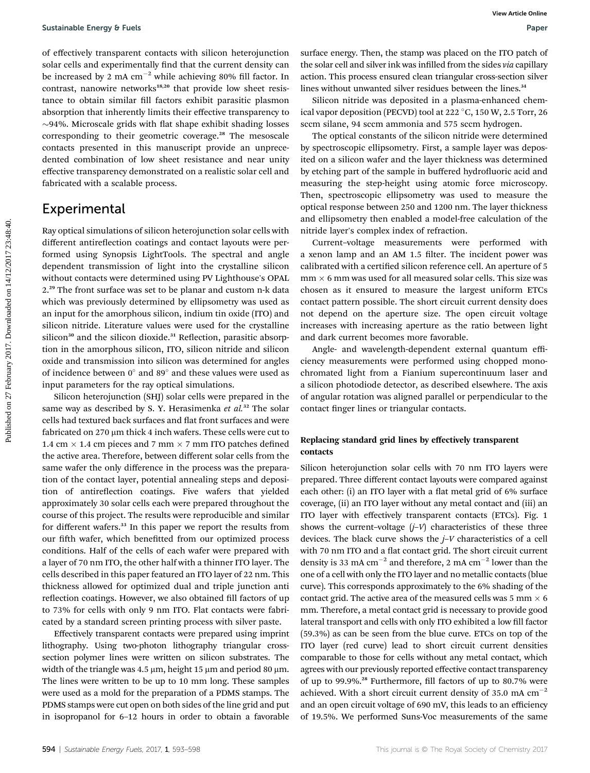of effectively transparent contacts with silicon heterojunction solar cells and experimentally find that the current density can be increased by 2 mA  $cm^{-2}$  while achieving 80% fill factor. In contrast, nanowire networks $18,20$  that provide low sheet resistance to obtain similar fill factors exhibit parasitic plasmon absorption that inherently limits their effective transparency to  $\sim$ 94%. Microscale grids with flat shape exhibit shading losses corresponding to their geometric coverage.<sup>28</sup> The mesoscale contacts presented in this manuscript provide an unprecedented combination of low sheet resistance and near unity effective transparency demonstrated on a realistic solar cell and fabricated with a scalable process.

### Experimental

Ray optical simulations of silicon heterojunction solar cells with different antireflection coatings and contact layouts were performed using Synopsis LightTools. The spectral and angle dependent transmission of light into the crystalline silicon without contacts were determined using PV Lighthouse's OPAL 2.<sup>29</sup> The front surface was set to be planar and custom n-k data which was previously determined by ellipsometry was used as an input for the amorphous silicon, indium tin oxide (ITO) and silicon nitride. Literature values were used for the crystalline silicon<sup>30</sup> and the silicon dioxide.<sup>31</sup> Reflection, parasitic absorption in the amorphous silicon, ITO, silicon nitride and silicon oxide and transmission into silicon was determined for angles of incidence between  $0^{\circ}$  and  $89^{\circ}$  and these values were used as input parameters for the ray optical simulations. Sustainable fraengy 6 Fests<br>on different contacts with allie on here counter districts. Then, the stamp was placed on the 11O pack<br>on each cells and experimentally find that the current density end the solution and subsect

Silicon heterojunction (SHJ) solar cells were prepared in the same way as described by S. Y. Herasimenka et  $al.^{32}$  The solar cells had textured back surfaces and flat front surfaces and were fabricated on  $270 \mu m$  thick 4 inch wafers. These cells were cut to 1.4 cm  $\times$  1.4 cm pieces and 7 mm  $\times$  7 mm ITO patches defined the active area. Therefore, between different solar cells from the same wafer the only difference in the process was the preparation of the contact layer, potential annealing steps and deposition of antireflection coatings. Five wafers that yielded approximately 30 solar cells each were prepared throughout the course of this project. The results were reproducible and similar for different wafers.<sup>33</sup> In this paper we report the results from our fifth wafer, which benefitted from our optimized process conditions. Half of the cells of each wafer were prepared with a layer of 70 nm ITO, the other half with a thinner ITO layer. The cells described in this paper featured an ITO layer of 22 nm. This thickness allowed for optimized dual and triple junction anti reflection coatings. However, we also obtained fill factors of up to 73% for cells with only 9 nm ITO. Flat contacts were fabricated by a standard screen printing process with silver paste.

Effectively transparent contacts were prepared using imprint lithography. Using two-photon lithography triangular crosssection polymer lines were written on silicon substrates. The width of the triangle was 4.5  $\mu$ m, height 15  $\mu$ m and period 80  $\mu$ m. The lines were written to be up to 10 mm long. These samples were used as a mold for the preparation of a PDMS stamps. The PDMS stamps were cut open on both sides of the line grid and put in isopropanol for 6–12 hours in order to obtain a favorable

surface energy. Then, the stamp was placed on the ITO patch of the solar cell and silver ink was infilled from the sides via capillary action. This process ensured clean triangular cross-section silver lines without unwanted silver residues between the lines.<sup>34</sup>

Silicon nitride was deposited in a plasma-enhanced chemical vapor deposition (PECVD) tool at 222 °C, 150 W, 2.5 Torr, 26 sccm silane, 94 sccm ammonia and 575 sccm hydrogen.

The optical constants of the silicon nitride were determined by spectroscopic ellipsometry. First, a sample layer was deposited on a silicon wafer and the layer thickness was determined by etching part of the sample in buffered hydrofluoric acid and measuring the step-height using atomic force microscopy. Then, spectroscopic ellipsometry was used to measure the optical response between 250 and 1200 nm. The layer thickness and ellipsometry then enabled a model-free calculation of the nitride layer's complex index of refraction.

Current–voltage measurements were performed with a xenon lamp and an AM 1.5 filter. The incident power was calibrated with a certified silicon reference cell. An aperture of 5  $mm \times 6 mm$  was used for all measured solar cells. This size was chosen as it ensured to measure the largest uniform ETCs contact pattern possible. The short circuit current density does not depend on the aperture size. The open circuit voltage increases with increasing aperture as the ratio between light and dark current becomes more favorable.

Angle- and wavelength-dependent external quantum efficiency measurements were performed using chopped monochromated light from a Fianium supercontinuum laser and a silicon photodiode detector, as described elsewhere. The axis of angular rotation was aligned parallel or perpendicular to the contact finger lines or triangular contacts.

#### Replacing standard grid lines by effectively transparent contacts

Silicon heterojunction solar cells with 70 nm ITO layers were prepared. Three different contact layouts were compared against each other: (i) an ITO layer with a flat metal grid of 6% surface coverage, (ii) an ITO layer without any metal contact and (iii) an ITO layer with effectively transparent contacts (ETCs). Fig. 1 shows the current–voltage  $(j-V)$  characteristics of these three devices. The black curve shows the  $j$ -V characteristics of a cell with 70 nm ITO and a flat contact grid. The short circuit current density is 33 mA  $cm^{-2}$  and therefore, 2 mA  $cm^{-2}$  lower than the one of a cell with only the ITO layer and no metallic contacts (blue curve). This corresponds approximately to the 6% shading of the contact grid. The active area of the measured cells was 5 mm  $\times$  6 mm. Therefore, a metal contact grid is necessary to provide good lateral transport and cells with only ITO exhibited a low fill factor (59.3%) as can be seen from the blue curve. ETCs on top of the ITO layer (red curve) lead to short circuit current densities comparable to those for cells without any metal contact, which agrees with our previously reported effective contact transparency of up to 99.9%.<sup>28</sup> Furthermore, fill factors of up to 80.7% were achieved. With a short circuit current density of 35.0 mA  $cm^{-2}$ and an open circuit voltage of 690 mV, this leads to an efficiency of 19.5%. We performed Suns-Voc measurements of the same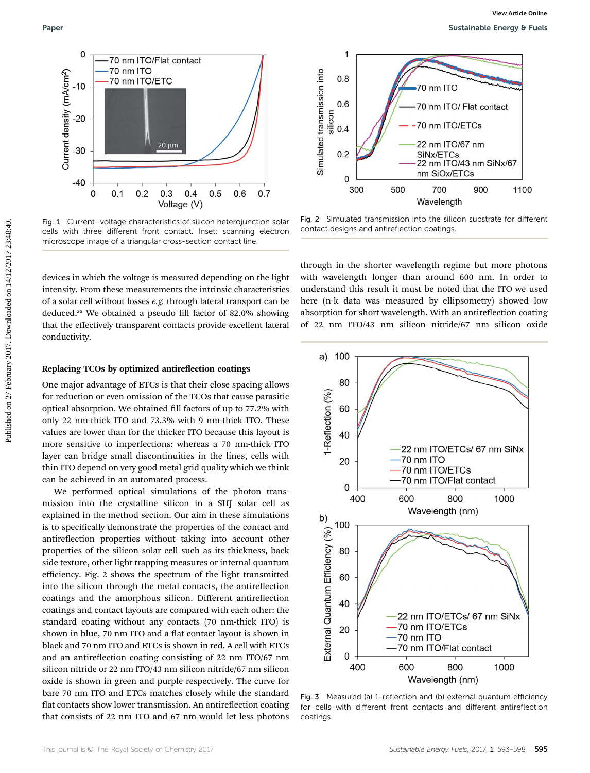

Fig. 1 Current–voltage characteristics of silicon heterojunction solar cells with three different front contact. Inset: scanning electron microscope image of a triangular cross-section contact line.

devices in which the voltage is measured depending on the light intensity. From these measurements the intrinsic characteristics of a solar cell without losses e.g. through lateral transport can be deduced.<sup>35</sup> We obtained a pseudo fill factor of 82.0% showing that the effectively transparent contacts provide excellent lateral conductivity.

#### Replacing TCOs by optimized antireflection coatings

One major advantage of ETCs is that their close spacing allows for reduction or even omission of the TCOs that cause parasitic optical absorption. We obtained fill factors of up to 77.2% with only 22 nm-thick ITO and 73.3% with 9 nm-thick ITO. These values are lower than for the thicker ITO because this layout is more sensitive to imperfections: whereas a 70 nm-thick ITO layer can bridge small discontinuities in the lines, cells with thin ITO depend on very good metal grid quality which we think can be achieved in an automated process.

We performed optical simulations of the photon transmission into the crystalline silicon in a SHJ solar cell as explained in the method section. Our aim in these simulations is to specifically demonstrate the properties of the contact and antireflection properties without taking into account other properties of the silicon solar cell such as its thickness, back side texture, other light trapping measures or internal quantum efficiency. Fig. 2 shows the spectrum of the light transmitted into the silicon through the metal contacts, the antireflection coatings and the amorphous silicon. Different antireflection coatings and contact layouts are compared with each other: the standard coating without any contacts (70 nm-thick ITO) is shown in blue, 70 nm ITO and a flat contact layout is shown in black and 70 nm ITO and ETCs is shown in red. A cell with ETCs and an antireflection coating consisting of 22 nm ITO/67 nm silicon nitride or 22 nm ITO/43 nm silicon nitride/67 nm silicon oxide is shown in green and purple respectively. The curve for bare 70 nm ITO and ETCs matches closely while the standard flat contacts show lower transmission. An antireflection coating that consists of 22 nm ITO and 67 nm would let less photons



Fig. 2 Simulated transmission into the silicon substrate for different contact designs and antireflection coatings.

through in the shorter wavelength regime but more photons with wavelength longer than around 600 nm. In order to understand this result it must be noted that the ITO we used here (n-k data was measured by ellipsometry) showed low absorption for short wavelength. With an antireflection coating of 22 nm ITO/43 nm silicon nitride/67 nm silicon oxide



Fig. 3 Measured (a) 1-reflection and (b) external quantum efficiency for cells with different front contacts and different antireflection coatings.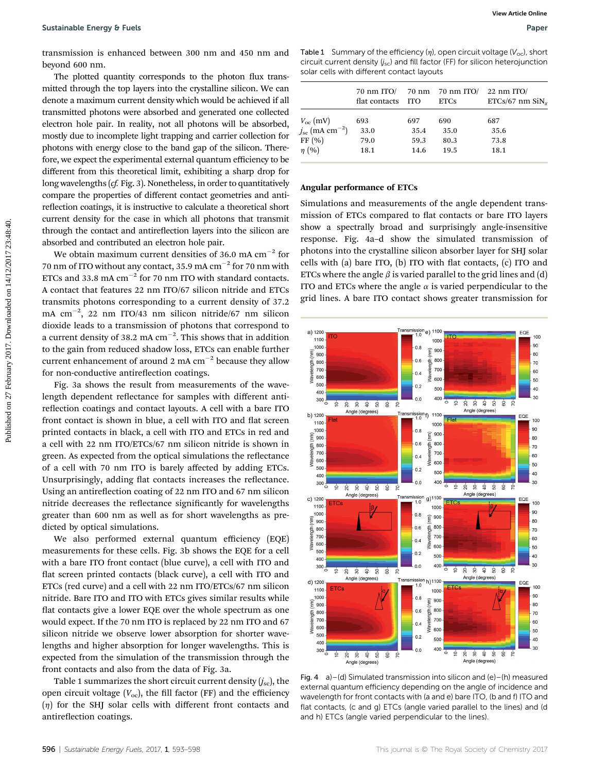transmission is enhanced between 300 nm and 450 nm and beyond 600 nm.

The plotted quantity corresponds to the photon flux transmitted through the top layers into the crystalline silicon. We can denote a maximum current density which would be achieved if all transmitted photons were absorbed and generated one collected electron hole pair. In reality, not all photons will be absorbed, mostly due to incomplete light trapping and carrier collection for photons with energy close to the band gap of the silicon. Therefore, we expect the experimental external quantum efficiency to be different from this theoretical limit, exhibiting a sharp drop for long wavelengths (cf. Fig. 3). Nonetheless, in order to quantitatively compare the properties of different contact geometries and antireflection coatings, it is instructive to calculate a theoretical short current density for the case in which all photons that transmit through the contact and antireflection layers into the silicon are absorbed and contributed an electron hole pair. Sustainable foreign  $\theta$  February 2018 to the photon flux transition of the photon flux transition of the photon flux transition of the photon flux transition of the photon flux transition of the photon flux transition of

We obtain maximum current densities of 36.0 mA  $cm^{-2}$  for 70 nm of ITO without any contact, 35.9 mA  $cm^{-2}$  for 70 nm with ETCs and 33.8 mA  $cm^{-2}$  for 70 nm ITO with standard contacts. A contact that features 22 nm ITO/67 silicon nitride and ETCs transmits photons corresponding to a current density of 37.2 mA  $cm^{-2}$ , 22 nm ITO/43 nm silicon nitride/67 nm silicon dioxide leads to a transmission of photons that correspond to a current density of 38.2 mA  $\rm cm^{-2}.$  This shows that in addition to the gain from reduced shadow loss, ETCs can enable further current enhancement of around 2 mA  $cm^{-2}$  because they allow for non-conductive antireflection coatings.

Fig. 3a shows the result from measurements of the wavelength dependent reflectance for samples with different antireflection coatings and contact layouts. A cell with a bare ITO front contact is shown in blue, a cell with ITO and flat screen printed contacts in black, a cell with ITO and ETCs in red and a cell with 22 nm ITO/ETCs/67 nm silicon nitride is shown in green. As expected from the optical simulations the reflectance of a cell with 70 nm ITO is barely affected by adding ETCs. Unsurprisingly, adding flat contacts increases the reflectance. Using an antireflection coating of 22 nm ITO and 67 nm silicon nitride decreases the reflectance significantly for wavelengths greater than 600 nm as well as for short wavelengths as predicted by optical simulations.

We also performed external quantum efficiency (EQE) measurements for these cells. Fig. 3b shows the EQE for a cell with a bare ITO front contact (blue curve), a cell with ITO and flat screen printed contacts (black curve), a cell with ITO and ETCs (red curve) and a cell with 22 nm ITO/ETCs/67 nm silicon nitride. Bare ITO and ITO with ETCs gives similar results while flat contacts give a lower EQE over the whole spectrum as one would expect. If the 70 nm ITO is replaced by 22 nm ITO and 67 silicon nitride we observe lower absorption for shorter wavelengths and higher absorption for longer wavelengths. This is expected from the simulation of the transmission through the front contacts and also from the data of Fig. 3a.

Table 1 summarizes the short circuit current density  $(j_{sc})$ , the open circuit voltage  $(V_{oc})$ , the fill factor (FF) and the efficiency  $(n)$  for the SHJ solar cells with different front contacts and antireflection coatings.

Table 1 Summary of the efficiency  $(\eta)$ , open circuit voltage ( $V_{\text{oc}}$ ), short circuit current density  $(j_{sc})$  and fill factor (FF) for silicon heterojunction solar cells with different contact layouts

|                                     | $70 \text{ nm}$ ITO/<br>flat contacts | <b>TTO</b> | 70 nm 70 nm ITO/<br><b>ETCs</b> | $22 \text{ nm}$ ITO/<br>$ETCs/67$ nm $\text{SiN}_x$ |
|-------------------------------------|---------------------------------------|------------|---------------------------------|-----------------------------------------------------|
| $V_{\rm oc}$ (mV)                   | 693                                   | 697        | 690                             | 687                                                 |
| $j_{\rm sc}$ (mA cm <sup>-2</sup> ) | 33.0                                  | 35.4       | 35.0                            | 35.6                                                |
| FF(%)                               | 79.0                                  | 59.3       | 80.3                            | 73.8                                                |
| $\eta$ (%)                          | 18.1                                  | 14.6       | 19.5                            | 18.1                                                |

#### Angular performance of ETCs

Simulations and measurements of the angle dependent transmission of ETCs compared to flat contacts or bare ITO layers show a spectrally broad and surprisingly angle-insensitive response. Fig. 4a–d show the simulated transmission of photons into the crystalline silicon absorber layer for SHJ solar cells with (a) bare ITO, (b) ITO with flat contacts,  $(c)$  ITO and ETCs where the angle  $\beta$  is varied parallel to the grid lines and (d) ITO and ETCs where the angle  $\alpha$  is varied perpendicular to the grid lines. A bare ITO contact shows greater transmission for



Fig. 4 a)–(d) Simulated transmission into silicon and  $(e)$ –(h) measured external quantum efficiency depending on the angle of incidence and wavelength for front contacts with (a and e) bare ITO, (b and f) ITO and flat contacts, (c and g) ETCs (angle varied parallel to the lines) and (d and h) ETCs (angle varied perpendicular to the lines).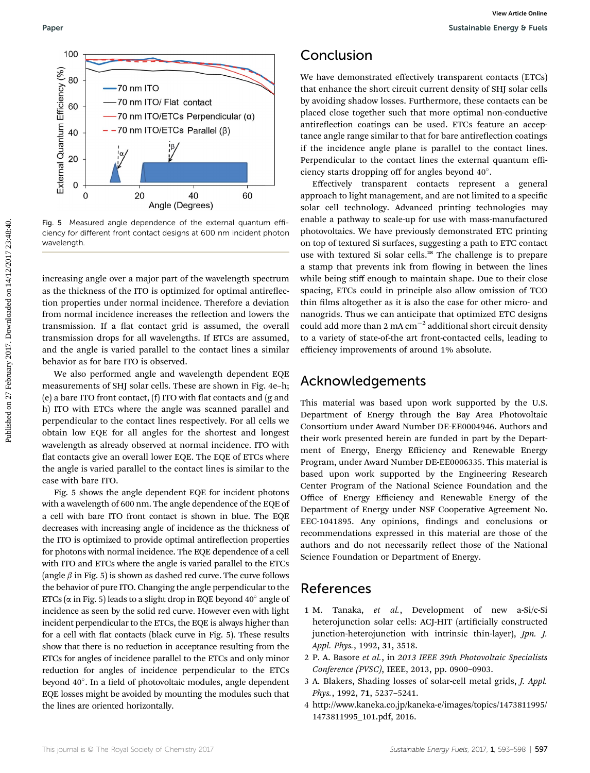

Fig. 5 Measured angle dependence of the external quantum efficiency for different front contact designs at 600 nm incident photon wavelength.

increasing angle over a major part of the wavelength spectrum as the thickness of the ITO is optimized for optimal antireflection properties under normal incidence. Therefore a deviation from normal incidence increases the reflection and lowers the transmission. If a flat contact grid is assumed, the overall transmission drops for all wavelengths. If ETCs are assumed, and the angle is varied parallel to the contact lines a similar behavior as for bare ITO is observed.

We also performed angle and wavelength dependent EQE measurements of SHJ solar cells. These are shown in Fig. 4e–h; (e) a bare ITO front contact,  $(f)$  ITO with flat contacts and  $(g$  and h) ITO with ETCs where the angle was scanned parallel and perpendicular to the contact lines respectively. For all cells we obtain low EQE for all angles for the shortest and longest wavelength as already observed at normal incidence. ITO with flat contacts give an overall lower EQE. The EQE of ETCs where the angle is varied parallel to the contact lines is similar to the case with bare ITO.

Fig. 5 shows the angle dependent EQE for incident photons with a wavelength of 600 nm. The angle dependence of the EQE of a cell with bare ITO front contact is shown in blue. The EQE decreases with increasing angle of incidence as the thickness of the ITO is optimized to provide optimal antireflection properties for photons with normal incidence. The EQE dependence of a cell with ITO and ETCs where the angle is varied parallel to the ETCs (angle  $\beta$  in Fig. 5) is shown as dashed red curve. The curve follows the behavior of pure ITO. Changing the angle perpendicular to the ETCs ( $\alpha$  in Fig. 5) leads to a slight drop in EQE beyond 40 $^{\circ}$  angle of incidence as seen by the solid red curve. However even with light incident perpendicular to the ETCs, the EQE is always higher than for a cell with flat contacts (black curve in Fig. 5). These results show that there is no reduction in acceptance resulting from the ETCs for angles of incidence parallel to the ETCs and only minor reduction for angles of incidence perpendicular to the ETCs beyond 40°. In a field of photovoltaic modules, angle dependent EQE losses might be avoided by mounting the modules such that the lines are oriented horizontally.

## Conclusion

We have demonstrated effectively transparent contacts (ETCs) that enhance the short circuit current density of SHJ solar cells by avoiding shadow losses. Furthermore, these contacts can be placed close together such that more optimal non-conductive antireflection coatings can be used. ETCs feature an acceptance angle range similar to that for bare antireflection coatings if the incidence angle plane is parallel to the contact lines. Perpendicular to the contact lines the external quantum efficiency starts dropping off for angles beyond 40.

Effectively transparent contacts represent a general approach to light management, and are not limited to a specific solar cell technology. Advanced printing technologies may enable a pathway to scale-up for use with mass-manufactured photovoltaics. We have previously demonstrated ETC printing on top of textured Si surfaces, suggesting a path to ETC contact use with textured Si solar cells.<sup>28</sup> The challenge is to prepare a stamp that prevents ink from flowing in between the lines while being stiff enough to maintain shape. Due to their close spacing, ETCs could in principle also allow omission of TCO thin films altogether as it is also the case for other micro- and nanogrids. Thus we can anticipate that optimized ETC designs could add more than 2 mA  $cm^{-2}$  additional short circuit density to a variety of state-of-the art front-contacted cells, leading to efficiency improvements of around 1% absolute. Puper<br>
Puper<br>  $\frac{2}{3}$  **CONCIUSION**<br>  $\frac{2}{3}$  **CONCIUSION**<br>  $\frac{2}{3}$  **CONCIUSION**<br>  $\frac{2}{3}$  **CONCIUSION**<br>  $\frac{2}{3}$  **CONCIUSION**<br>  $\frac{2}{3}$  **CONCIUSION**<br>  $\frac{2}{3}$  **CONCIUSION**<br>  $\frac{2}{3}$  **CONCIUSION**<br>  $\frac{2}{3}$  **CONC** 

## Acknowledgements

This material was based upon work supported by the U.S. Department of Energy through the Bay Area Photovoltaic Consortium under Award Number DE-EE0004946. Authors and their work presented herein are funded in part by the Department of Energy, Energy Efficiency and Renewable Energy Program, under Award Number DE-EE0006335. This material is based upon work supported by the Engineering Research Center Program of the National Science Foundation and the Office of Energy Efficiency and Renewable Energy of the Department of Energy under NSF Cooperative Agreement No. EEC-1041895. Any opinions, findings and conclusions or recommendations expressed in this material are those of the authors and do not necessarily reflect those of the National Science Foundation or Department of Energy.

## References

- 1 M. Tanaka, et al., Development of new a-Si/c-Si heterojunction solar cells: ACJ-HIT (artificially constructed junction-heterojunction with intrinsic thin-layer), Jpn. J. Appl. Phys., 1992, 31, 3518.
- 2 P. A. Basore et al., in 2013 IEEE 39th Photovoltaic Specialists Conference (PVSC), IEEE, 2013, pp. 0900–0903.
- 3 A. Blakers, Shading losses of solar-cell metal grids, J. Appl. Phys., 1992, 71, 5237–5241.
- 4 http://www.kaneka.co.jp/kaneka-e/images/topics/1473811995/ 1473811995\_101.pdf, 2016.